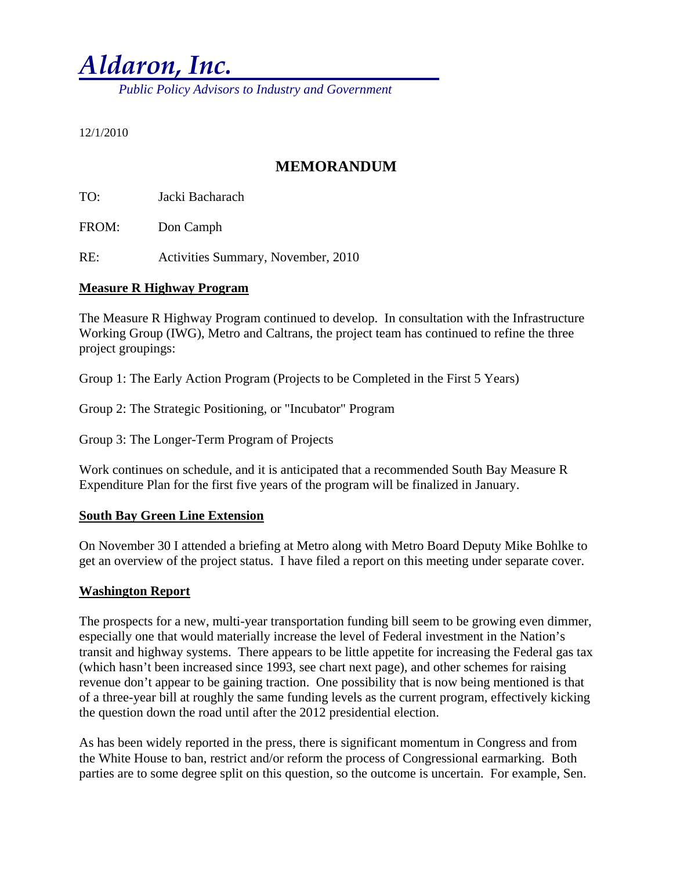# *Aldaron, Inc.*

 *Public Policy Advisors to Industry and Government* 

#### 12/1/2010

## **MEMORANDUM**

TO: Jacki Bacharach

FROM: Don Camph

RE: Activities Summary, November, 2010

### **Measure R Highway Program**

The Measure R Highway Program continued to develop. In consultation with the Infrastructure Working Group (IWG), Metro and Caltrans, the project team has continued to refine the three project groupings:

Group 1: The Early Action Program (Projects to be Completed in the First 5 Years)

Group 2: The Strategic Positioning, or "Incubator" Program

Group 3: The Longer-Term Program of Projects

Work continues on schedule, and it is anticipated that a recommended South Bay Measure R Expenditure Plan for the first five years of the program will be finalized in January.

### **South Bay Green Line Extension**

On November 30 I attended a briefing at Metro along with Metro Board Deputy Mike Bohlke to get an overview of the project status. I have filed a report on this meeting under separate cover.

### **Washington Report**

The prospects for a new, multi-year transportation funding bill seem to be growing even dimmer, especially one that would materially increase the level of Federal investment in the Nation's transit and highway systems. There appears to be little appetite for increasing the Federal gas tax (which hasn't been increased since 1993, see chart next page), and other schemes for raising revenue don't appear to be gaining traction. One possibility that is now being mentioned is that of a three-year bill at roughly the same funding levels as the current program, effectively kicking the question down the road until after the 2012 presidential election.

As has been widely reported in the press, there is significant momentum in Congress and from the White House to ban, restrict and/or reform the process of Congressional earmarking. Both parties are to some degree split on this question, so the outcome is uncertain. For example, Sen.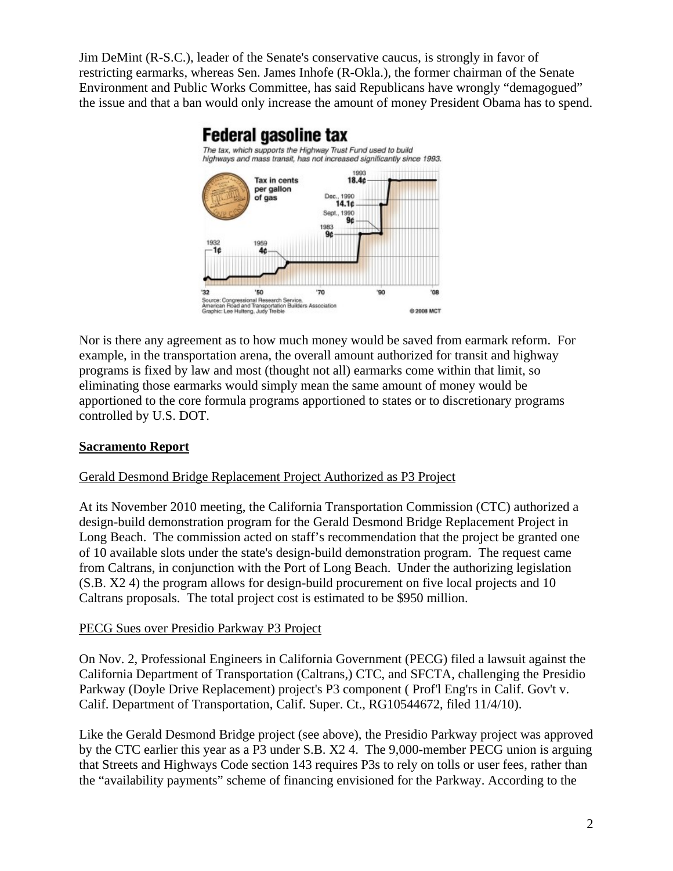Jim DeMint (R-S.C.), leader of the Senate's conservative caucus, is strongly in favor of restricting earmarks, whereas Sen. James Inhofe (R-Okla.), the former chairman of the Senate Environment and Public Works Committee, has said Republicans have wrongly "demagogued" the issue and that a ban would only increase the amount of money President Obama has to spend.



Nor is there any agreement as to how much money would be saved from earmark reform. For example, in the transportation arena, the overall amount authorized for transit and highway programs is fixed by law and most (thought not all) earmarks come within that limit, so eliminating those earmarks would simply mean the same amount of money would be apportioned to the core formula programs apportioned to states or to discretionary programs controlled by U.S. DOT.

## **Sacramento Report**

## Gerald Desmond Bridge Replacement Project Authorized as P3 Project

At its November 2010 meeting, the California Transportation Commission (CTC) authorized a design-build demonstration program for the Gerald Desmond Bridge Replacement Project in Long Beach. The commission acted on staff's recommendation that the project be granted one of 10 available slots under the state's design-build demonstration program. The request came from Caltrans, in conjunction with the Port of Long Beach. Under the authorizing legislation (S.B. X2 4) the program allows for design-build procurement on five local projects and 10 Caltrans proposals. The total project cost is estimated to be \$950 million.

### PECG Sues over Presidio Parkway P3 Project

On Nov. 2, Professional Engineers in California Government (PECG) filed a lawsuit against the California Department of Transportation (Caltrans,) CTC, and SFCTA, challenging the Presidio Parkway (Doyle Drive Replacement) project's P3 component ( Prof'l Eng'rs in Calif. Gov't v. Calif. Department of Transportation, Calif. Super. Ct., RG10544672, filed 11/4/10).

Like the Gerald Desmond Bridge project (see above), the Presidio Parkway project was approved by the CTC earlier this year as a P3 under S.B. X2 4. The 9,000-member PECG union is arguing that Streets and Highways Code section 143 requires P3s to rely on tolls or user fees, rather than the "availability payments" scheme of financing envisioned for the Parkway. According to the